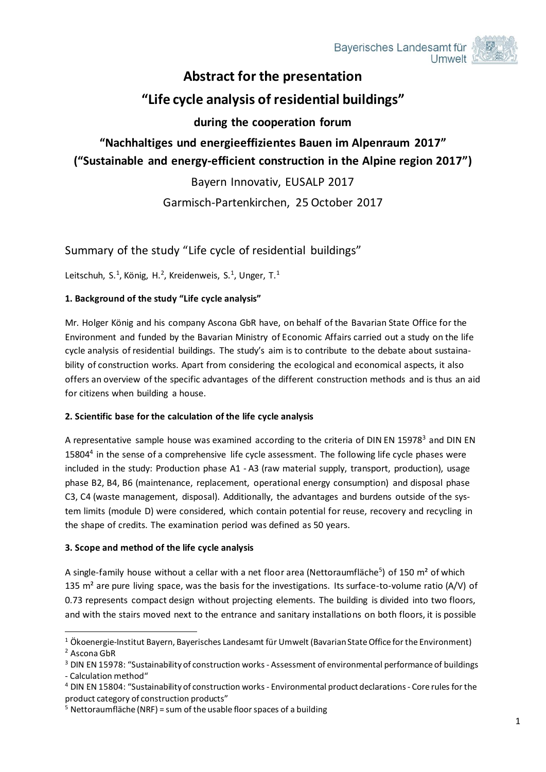

# **Abstract for the presentation**

# **"Life cycle analysis of residential buildings"**

## **during the cooperation forum**

# **"Nachhaltiges und energieeffizientes Bauen im Alpenraum 2017" ("Sustainable and energy-efficient construction in the Alpine region 2017")**

Bayern Innovativ, EUSALP 2017

Garmisch-Partenkirchen, 25 October 2017

## Summary of the study "Life cycle of residential buildings"

Leitschuh, S.<sup>1</sup>, König, H.<sup>2</sup>, Kreidenweis, S.<sup>1</sup>, Unger, T.<sup>1</sup>

### **1. Background of the study "Life cycle analysis"**

Mr. Holger König and his company Ascona GbR have, on behalf of the Bavarian State Office for the Environment and funded by the Bavarian Ministry of Economic Affairs carried out a study on the life cycle analysis of residential buildings. The study's aim is to contribute to the debate about sustainability of construction works. Apart from considering the ecological and economical aspects, it also offers an overview of the specific advantages of the different construction methods and is thus an aid for citizens when building a house.

### **2. Scientific base for the calculation of the life cycle analysis**

A representative sample house was examined according to the criteria of DIN EN 15978<sup>3</sup> and DIN EN 15804<sup>4</sup> in the sense of a comprehensive life cycle assessment. The following life cycle phases were included in the study: Production phase A1 - A3 (raw material supply, transport, production), usage phase B2, B4, B6 (maintenance, replacement, operational energy consumption) and disposal phase C3, C4 (waste management, disposal). Additionally, the advantages and burdens outside of the system limits (module D) were considered, which contain potential for reuse, recovery and recycling in the shape of credits. The examination period was defined as 50 years.

### **3. Scope and method of the life cycle analysis**

A single-family house without a cellar with a net floor area (Nettoraumfläche<sup>5</sup>) of 150 m<sup>2</sup> of which 135  $m<sup>2</sup>$  are pure living space, was the basis for the investigations. Its surface-to-volume ratio (A/V) of 0.73 represents compact design without projecting elements. The building is divided into two floors, and with the stairs moved next to the entrance and sanitary installations on both floors, it is possible

<sup>-</sup><sup>1</sup> Ökoenergie-Institut Bayern, Bayerisches Landesamt für Umwelt (Bavarian State Office for the Environment) <sup>2</sup> Ascona GbR

<sup>&</sup>lt;sup>3</sup> DIN EN 15978: "Sustainability of construction works - Assessment of environmental performance of buildings - Calculation method"

<sup>4</sup> DIN EN 15804: "Sustainability of construction works - Environmental product declarations - Core rules for the product category of construction products"

 $5$  Nettoraumfläche (NRF) = sum of the usable floor spaces of a building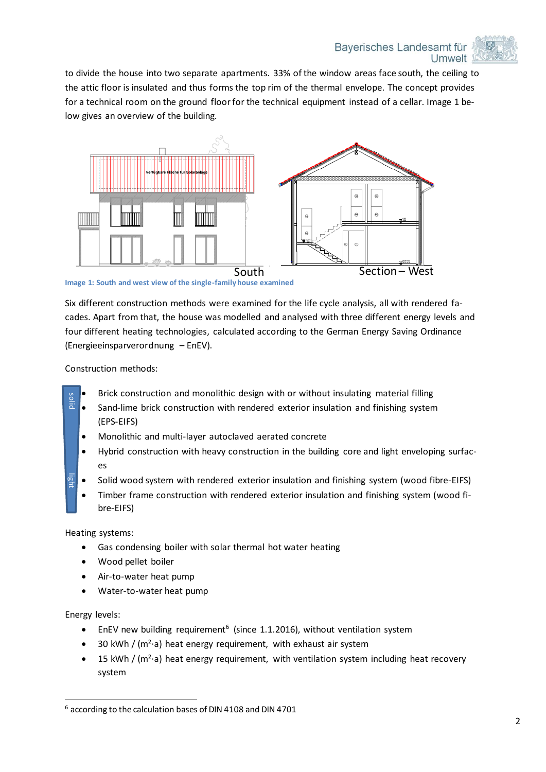

to divide the house into two separate apartments. 33% of the window areas face south, the ceiling to the attic floor is insulated and thus forms the top rim of the thermal envelope. The concept provides for a technical room on the ground floor for the technical equipment instead of a cellar. Image 1 below gives an overview of the building.



**Image 1: South and west view of the single-family house examined**

Six different construction methods were examined for the life cycle analysis, all with rendered facades. Apart from that, the house was modelled and analysed with three different energy levels and four different heating technologies, calculated according to the German Energy Saving Ordinance (Energieeinsparverordnung – EnEV).

Construction methods:

- Brick construction and monolithic design with or without insulating material filling
- Sand-lime brick construction with rendered exterior insulation and finishing system (EPS-EIFS) **Example 10** and Hine brick construction and intriducted externed externed (EPS-EIFS)<br>
• Monolithic and multi-layer autoclaved aerated c<br>
• Hybrid construction with heavy construction in t<br>
• Solid wood system with render
	- Monolithic and multi-layer autoclaved aerated concrete
	- Hybrid construction with heavy construction in the building core and light enveloping surfaces
	- Solid wood system with rendered exterior insulation and finishing system (wood fibre-EIFS)
	- Timber frame construction with rendered exterior insulation and finishing system (wood fibre-EIFS)

Heating systems:

- Gas condensing boiler with solar thermal hot water heating
- Wood pellet boiler
- Air-to-water heat pump
- Water-to-water heat pump

Energy levels:

- **•** EnEV new building requirement<sup>6</sup> (since 1.1.2016), without ventilation system
- 30 kWh / (m<sup>2</sup>⋅a) heat energy requirement, with exhaust air system
- 15 kWh / (m<sup>2</sup>⋅a) heat energy requirement, with ventilation system including heat recovery system

<sup>-</sup>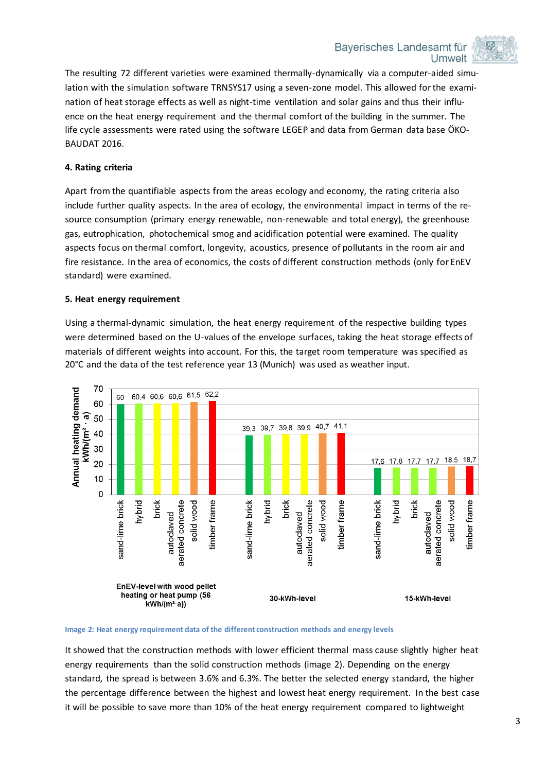

The resulting 72 different varieties were examined thermally-dynamically via a computer-aided simulation with the simulation software TRNSYS17 using a seven-zone model. This allowed for the examination of heat storage effects as well as night-time ventilation and solar gains and thus their influence on the heat energy requirement and the thermal comfort of the building in the summer. The life cycle assessments were rated using the software LEGEP and data from German data base ÖKO-BAUDAT 2016.

#### **4. Rating criteria**

Apart from the quantifiable aspects from the areas ecology and economy, the rating criteria also include further quality aspects. In the area of ecology, the environmental impact in terms of the resource consumption (primary energy renewable, non-renewable and total energy), the greenhouse gas, eutrophication, photochemical smog and acidification potential were examined. The quality aspects focus on thermal comfort, longevity, acoustics, presence of pollutants in the room air and fire resistance. In the area of economics, the costs of different construction methods (only for EnEV standard) were examined.

#### **5. Heat energy requirement**

Using a thermal-dynamic simulation, the heat energy requirement of the respective building types were determined based on the U-values of the envelope surfaces, taking the heat storage effects of materials of different weights into account. For this, the target room temperature was specified as 20°C and the data of the test reference year 13 (Munich) was used as weather input.



**Image 2: Heat energy requirement data of the different construction methods and energy levels**

It showed that the construction methods with lower efficient thermal mass cause slightly higher heat energy requirements than the solid construction methods (image 2). Depending on the energy standard, the spread is between 3.6% and 6.3%. The better the selected energy standard, the higher the percentage difference between the highest and lowest heat energy requirement. In the best case it will be possible to save more than 10% of the heat energy requirement compared to lightweight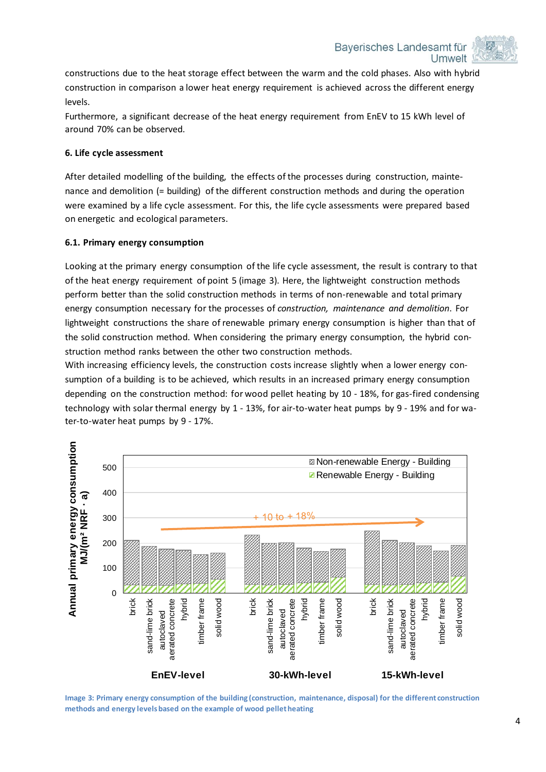Bayerisches Landesamt für Umwelt



constructions due to the heat storage effect between the warm and the cold phases. Also with hybrid construction in comparison a lower heat energy requirement is achieved across the different energy levels.

Furthermore, a significant decrease of the heat energy requirement from EnEV to 15 kWh level of around 70% can be observed.

#### **6. Life cycle assessment**

After detailed modelling of the building, the effects of the processes during construction, maintenance and demolition (= building) of the different construction methods and during the operation were examined by a life cycle assessment. For this, the life cycle assessments were prepared based on energetic and ecological parameters.

#### **6.1. Primary energy consumption**

Looking at the primary energy consumption of the life cycle assessment, the result is contrary to that of the heat energy requirement of point 5 (image 3). Here, the lightweight construction methods perform better than the solid construction methods in terms of non-renewable and total primary energy consumption necessary for the processes of *construction, maintenance and demolition*. For lightweight constructions the share of renewable primary energy consumption is higher than that of the solid construction method. When considering the primary energy consumption, the hybrid construction method ranks between the other two construction methods.

With increasing efficiency levels, the construction costs increase slightly when a lower energy consumption of a building is to be achieved, which results in an increased primary energy consumption depending on the construction method: for wood pellet heating by 10 - 18%, for gas-fired condensing technology with solar thermal energy by 1 - 13%, for air-to-water heat pumps by 9 - 19% and for water-to-water heat pumps by 9 - 17%.



**Image 3: Primary energy consumption of the building (construction, maintenance, disposal) for the different construction methods and energy levels based on the example of wood pellet heating**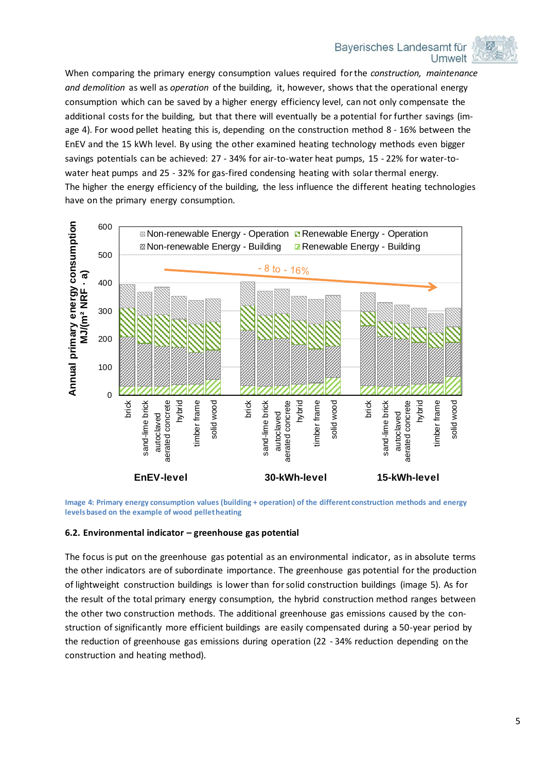Bayerisches Landesamt für Umwelt



When comparing the primary energy consumption values required for the *construction, maintenance and demolition* as well as *operation* of the building, it, however, shows that the operational energy consumption which can be saved by a higher energy efficiency level, can not only compensate the additional costs for the building, but that there will eventually be a potential for further savings (image 4). For wood pellet heating this is, depending on the construction method 8 - 16% between the EnEV and the 15 kWh level. By using the other examined heating technology methods even bigger savings potentials can be achieved: 27 - 34% for air-to-water heat pumps, 15 - 22% for water-towater heat pumps and 25 - 32% for gas-fired condensing heating with solar thermal energy. The higher the energy efficiency of the building, the less influence the different heating technologies have on the primary energy consumption.



**Image 4: Primary energy consumption values (building + operation) of the different construction methods and energy levels based on the example of wood pellet heating**

#### **6.2. Environmental indicator – greenhouse gas potential**

The focus is put on the greenhouse gas potential as an environmental indicator, as in absolute terms the other indicators are of subordinate importance. The greenhouse gas potential for the production of lightweight construction buildings is lower than for solid construction buildings (image 5). As for the result of the total primary energy consumption, the hybrid construction method ranges between the other two construction methods. The additional greenhouse gas emissions caused by the construction of significantly more efficient buildings are easily compensated during a 50-year period by the reduction of greenhouse gas emissions during operation (22 - 34% reduction depending on the construction and heating method).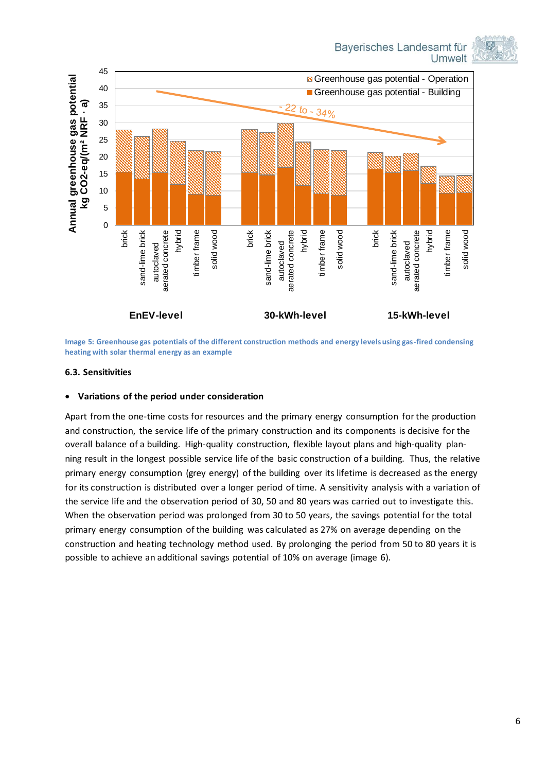



**Image 5: Greenhouse gas potentials of the different construction methods and energy levels using gas-fired condensing heating with solar thermal energy as an example**

#### **6.3. Sensitivities**

#### **Variations of the period under consideration**

Apart from the one-time costs for resources and the primary energy consumption for the production and construction, the service life of the primary construction and its components is decisive for the overall balance of a building. High-quality construction, flexible layout plans and high-quality planning result in the longest possible service life of the basic construction of a building. Thus, the relative primary energy consumption (grey energy) of the building over its lifetime is decreased as the energy for its construction is distributed over a longer period of time. A sensitivity analysis with a variation of the service life and the observation period of 30, 50 and 80 years was carried out to investigate this. When the observation period was prolonged from 30 to 50 years, the savings potential for the total primary energy consumption of the building was calculated as 27% on average depending on the construction and heating technology method used. By prolonging the period from 50 to 80 years it is possible to achieve an additional savings potential of 10% on average (image 6).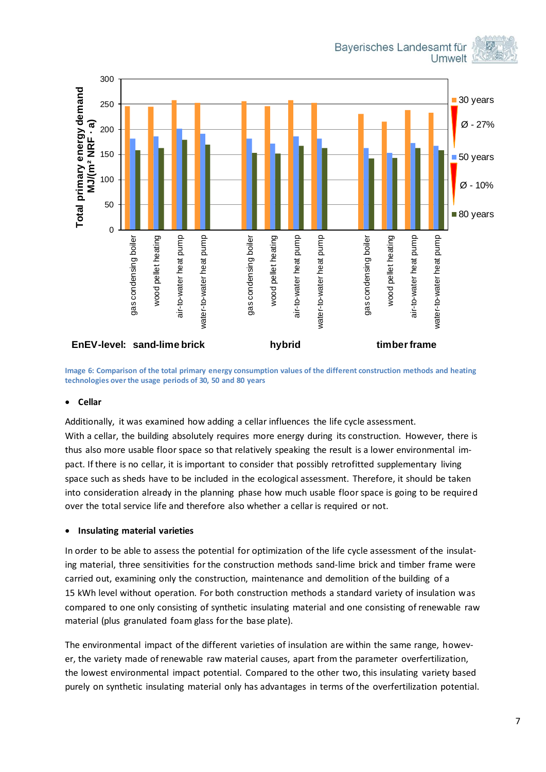Bayerisches Landesamt für **Umwelt** 





**Image 6: Comparison of the total primary energy consumption values of the different construction methods and heating technologies over the usage periods of 30, 50 and 80 years**

#### **Cellar**

Additionally, it was examined how adding a cellar influences the life cycle assessment. With a cellar, the building absolutely requires more energy during its construction. However, there is thus also more usable floor space so that relatively speaking the result is a lower environmental impact. If there is no cellar, it is important to consider that possibly retrofitted supplementary living space such as sheds have to be included in the ecological assessment. Therefore, it should be taken into consideration already in the planning phase how much usable floor space is going to be required over the total service life and therefore also whether a cellar is required or not.

#### **Insulating material varieties**

In order to be able to assess the potential for optimization of the life cycle assessment of the insulating material, three sensitivities for the construction methods sand-lime brick and timber frame were carried out, examining only the construction, maintenance and demolition of the building of a 15 kWh level without operation. For both construction methods a standard variety of insulation was compared to one only consisting of synthetic insulating material and one consisting of renewable raw material (plus granulated foam glass for the base plate).

The environmental impact of the different varieties of insulation are within the same range, however, the variety made of renewable raw material causes, apart from the parameter overfertilization, the lowest environmental impact potential. Compared to the other two, this insulating variety based purely on synthetic insulating material only has advantages in terms of the overfertilization potential.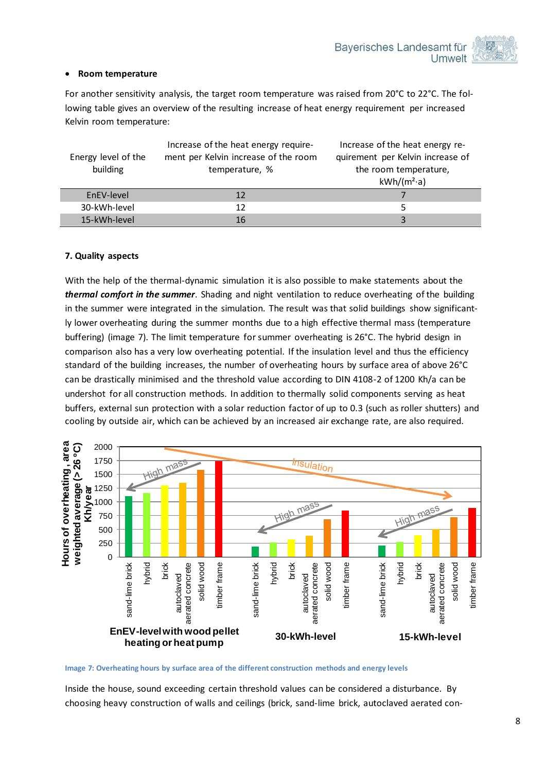#### **Room temperature**

For another sensitivity analysis, the target room temperature was raised from 20°C to 22°C. The following table gives an overview of the resulting increase of heat energy requirement per increased Kelvin room temperature:

| Energy level of the<br>building | Increase of the heat energy require-<br>ment per Kelvin increase of the room<br>temperature, % | Increase of the heat energy re-<br>quirement per Kelvin increase of<br>the room temperature,<br>$kWh/(m^2-a)$ |
|---------------------------------|------------------------------------------------------------------------------------------------|---------------------------------------------------------------------------------------------------------------|
| EnEV-level                      | 12                                                                                             |                                                                                                               |
| 30-kWh-level                    | 12                                                                                             |                                                                                                               |
| 15-kWh-level                    | 16                                                                                             |                                                                                                               |

#### **7. Quality aspects**

With the help of the thermal-dynamic simulation it is also possible to make statements about the *thermal comfort in the summer*. Shading and night ventilation to reduce overheating of the building in the summer were integrated in the simulation. The result was that solid buildings show significantly lower overheating during the summer months due to a high effective thermal mass (temperature buffering) (image 7). The limit temperature for summer overheating is 26°C. The hybrid design in comparison also has a very low overheating potential. If the insulation level and thus the efficiency standard of the building increases, the number of overheating hours by surface area of above 26°C can be drastically minimised and the threshold value according to DIN 4108-2 of 1200 Kh/a can be undershot for all construction methods. In addition to thermally solid components serving as heat buffers, external sun protection with a solar reduction factor of up to 0.3 (such as roller shutters) and cooling by outside air, which can be achieved by an increased air exchange rate, are also required.



**Image 7: Overheating hours by surface area of the different construction methods and energy levels**

Inside the house, sound exceeding certain threshold values can be considered a disturbance. By choosing heavy construction of walls and ceilings (brick, sand-lime brick, autoclaved aerated con-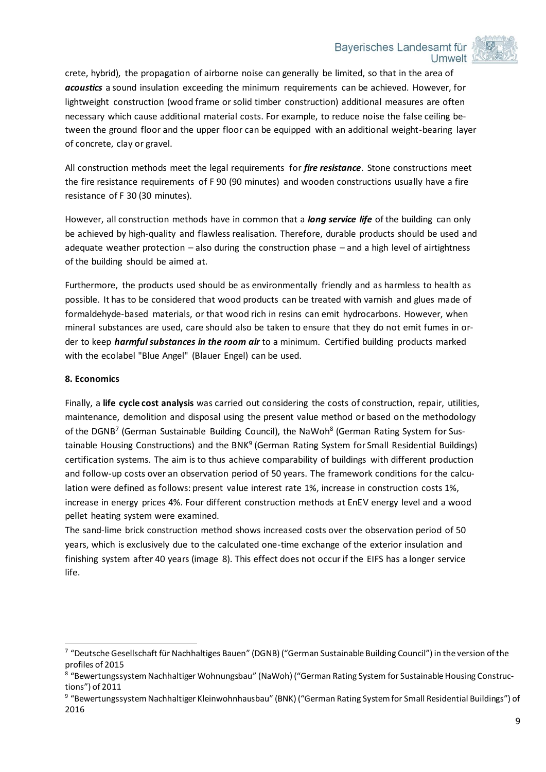#### Baverisches Landesamt für **Umwelt**



crete, hybrid), the propagation of airborne noise can generally be limited, so that in the area of *acoustics* a sound insulation exceeding the minimum requirements can be achieved. However, for lightweight construction (wood frame or solid timber construction) additional measures are often necessary which cause additional material costs. For example, to reduce noise the false ceiling between the ground floor and the upper floor can be equipped with an additional weight-bearing layer of concrete, clay or gravel.

All construction methods meet the legal requirements for *fire resistance*. Stone constructions meet the fire resistance requirements of F 90 (90 minutes) and wooden constructions usually have a fire resistance of F 30 (30 minutes).

However, all construction methods have in common that a *long service life* of the building can only be achieved by high-quality and flawless realisation. Therefore, durable products should be used and adequate weather protection  $-$  also during the construction phase  $-$  and a high level of airtightness of the building should be aimed at.

Furthermore, the products used should be as environmentally friendly and as harmless to health as possible. It has to be considered that wood products can be treated with varnish and glues made of formaldehyde-based materials, or that wood rich in resins can emit hydrocarbons. However, when mineral substances are used, care should also be taken to ensure that they do not emit fumes in order to keep *harmful substances in the room air* to a minimum. Certified building products marked with the ecolabel "Blue Angel" (Blauer Engel) can be used.

#### **8. Economics**

-

Finally, a **life cycle cost analysis** was carried out considering the costs of construction, repair, utilities, maintenance, demolition and disposal using the present value method or based on the methodology of the DGNB<sup>7</sup> (German Sustainable Building Council), the NaWoh<sup>8</sup> (German Rating System for Sustainable Housing Constructions) and the BNK<sup>9</sup> (German Rating System for Small Residential Buildings) certification systems. The aim is to thus achieve comparability of buildings with different production and follow-up costs over an observation period of 50 years. The framework conditions for the calculation were defined as follows: present value interest rate 1%, increase in construction costs 1%, increase in energy prices 4%. Four different construction methods at EnEV energy level and a wood pellet heating system were examined.

The sand-lime brick construction method shows increased costs over the observation period of 50 years, which is exclusively due to the calculated one-time exchange of the exterior insulation and finishing system after 40 years (image 8). This effect does not occur if the EIFS has a longer service life.

<sup>&</sup>lt;sup>7</sup> "Deutsche Gesellschaft für Nachhaltiges Bauen" (DGNB) ("German Sustainable Building Council") in the version of the profiles of 2015

<sup>8</sup> "Bewertungssystem Nachhaltiger Wohnungsbau" (NaWoh) ("German Rating System for Sustainable Housing Constructions") of 2011

<sup>&</sup>lt;sup>9</sup> "Bewertungssystem Nachhaltiger Kleinwohnhausbau" (BNK) ("German Rating System for Small Residential Buildings") of 2016